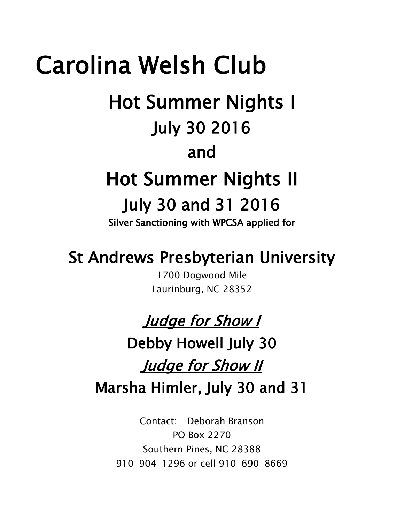# Carolina Welsh Club Hot Summer Nights I July 30 2016 and Hot Summer Nights II July 30 and 31 2016 Silver Sanctioning with WPCSA applied for

# St Andrews Presbyterian University

1700 Dogwood Mile Laurinburg, NC 28352

# Judge for Show I

Debby Howell July 30 Judge for Show II Marsha Himler, July 30 and 31

> Contact: Deborah Branson PO Box 2270 Southern Pines, NC 28388 910-904-1296 or cell 910-690-8669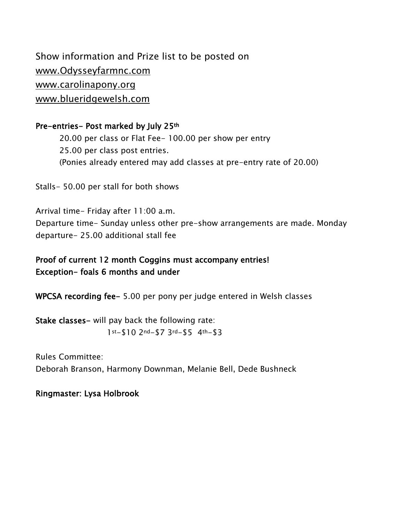Show information and Prize list to be posted on www.Odysseyfarmnc.com [www.carolinapony.org](http://www.carolinapony.org/) [www.blueridgewelsh.com](http://www.blueridgewelsh.com/)

Pre-entries- Post marked by July 25th

20.00 per class or Flat Fee- 100.00 per show per entry 25.00 per class post entries. (Ponies already entered may add classes at pre-entry rate of 20.00)

Stalls- 50.00 per stall for both shows

Arrival time- Friday after 11:00 a.m. Departure time- Sunday unless other pre-show arrangements are made. Monday departure- 25.00 additional stall fee

Proof of current 12 month Coggins must accompany entries! Exception- foals 6 months and under

WPCSA recording fee- 5.00 per pony per judge entered in Welsh classes

Stake classes- will pay back the following rate: 1st-\$10 2nd-\$7 3rd-\$5 4th-\$3

Rules Committee: Deborah Branson, Harmony Downman, Melanie Bell, Dede Bushneck

Ringmaster: Lysa Holbrook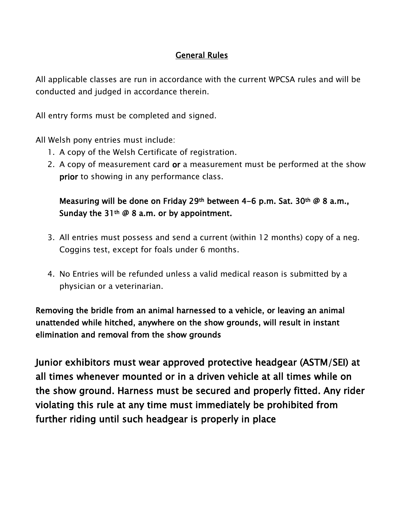# General Rules

All applicable classes are run in accordance with the current WPCSA rules and will be conducted and judged in accordance therein.

All entry forms must be completed and signed.

All Welsh pony entries must include:

- 1. A copy of the Welsh Certificate of registration.
- 2. A copy of measurement card or a measurement must be performed at the show prior to showing in any performance class.

Measuring will be done on Friday 29<sup>th</sup> between 4-6 p.m. Sat. 30<sup>th</sup> @ 8 a.m., Sunday the 31<sup>th</sup>  $\varnothing$  8 a.m. or by appointment.

- 3. All entries must possess and send a current (within 12 months) copy of a neg. Coggins test, except for foals under 6 months.
- 4. No Entries will be refunded unless a valid medical reason is submitted by a physician or a veterinarian.

Removing the bridle from an animal harnessed to a vehicle, or leaving an animal unattended while hitched, anywhere on the show grounds, will result in instant elimination and removal from the show grounds

Junior exhibitors must wear approved protective headgear (ASTM/SEI) at all times whenever mounted or in a driven vehicle at all times while on the show ground. Harness must be secured and properly fitted. Any rider violating this rule at any time must immediately be prohibited from further riding until such headgear is properly in place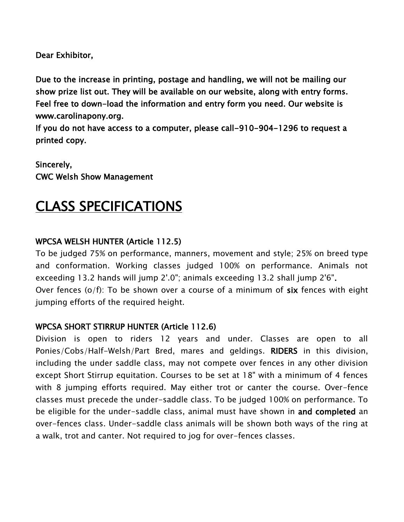Dear Exhibitor,

Due to the increase in printing, postage and handling, we will not be mailing our show prize list out. They will be available on our website, along with entry forms. Feel free to down-load the information and entry form you need. Our website is www.carolinapony.org.

If you do not have access to a computer, please call-910-904-1296 to request a printed copy.

Sincerely, CWC Welsh Show Management

# CLASS SPECIFICATIONS

### WPCSA WELSH HUNTER (Article 112.5)

To be judged 75% on performance, manners, movement and style; 25% on breed type and conformation. Working classes judged 100% on performance. Animals not exceeding 13.2 hands will jump 2'.0"; animals exceeding 13.2 shall jump 2'6". Over fences (o/f): To be shown over a course of a minimum of six fences with eight jumping efforts of the required height.

#### WPCSA SHORT STIRRUP HUNTER (Article 112.6)

Division is open to riders 12 years and under. Classes are open to all Ponies/Cobs/Half-Welsh/Part Bred, mares and geldings. RIDERS in this division, including the under saddle class, may not compete over fences in any other division except Short Stirrup equitation. Courses to be set at 18" with a minimum of 4 fences with 8 jumping efforts required. May either trot or canter the course. Over-fence classes must precede the under-saddle class. To be judged 100% on performance. To be eligible for the under-saddle class, animal must have shown in and completed an over-fences class. Under-saddle class animals will be shown both ways of the ring at a walk, trot and canter. Not required to jog for over-fences classes.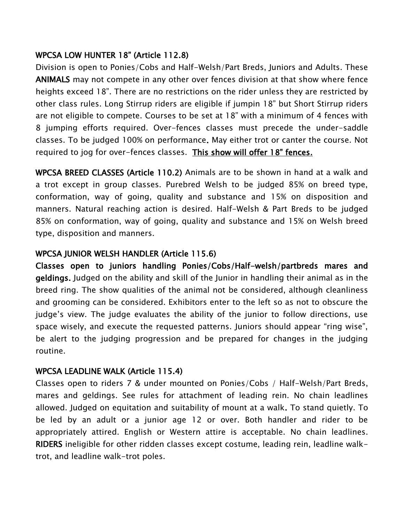# WPCSA LOW HUNTER 18" (Article 112.8)

Division is open to Ponies/Cobs and Half-Welsh/Part Breds, Juniors and Adults. These ANIMALS may not compete in any other over fences division at that show where fence heights exceed 18". There are no restrictions on the rider unless they are restricted by other class rules. Long Stirrup riders are eligible if jumpin 18" but Short Stirrup riders are not eligible to compete. Courses to be set at 18" with a minimum of 4 fences with 8 jumping efforts required. Over-fences classes must precede the under-saddle classes. To be judged 100% on performance. May either trot or canter the course. Not required to jog for over-fences classes. This show will offer 18" fences.

WPCSA BREED CLASSES (Article 110.2) Animals are to be shown in hand at a walk and a trot except in group classes. Purebred Welsh to be judged 85% on breed type, conformation, way of going, quality and substance and 15% on disposition and manners. Natural reaching action is desired. Half-Welsh & Part Breds to be judged 85% on conformation, way of going, quality and substance and 15% on Welsh breed type, disposition and manners.

# WPCSA JUNIOR WELSH HANDLER (Article 115.6)

Classes open to juniors handling Ponies/Cobs/Half-welsh/partbreds mares and geldings. Judged on the ability and skill of the Junior in handling their animal as in the breed ring. The show qualities of the animal not be considered, although cleanliness and grooming can be considered. Exhibitors enter to the left so as not to obscure the judge's view. The judge evaluates the ability of the junior to follow directions, use space wisely, and execute the requested patterns. Juniors should appear "ring wise", be alert to the judging progression and be prepared for changes in the judging routine.

# WPCSA LEADLINE WALK (Article 115.4)

Classes open to riders 7 & under mounted on Ponies/Cobs / Half-Welsh/Part Breds, mares and geldings. See rules for attachment of leading rein. No chain leadlines allowed. Judged on equitation and suitability of mount at a walk. To stand quietly. To be led by an adult or a junior age 12 or over. Both handler and rider to be appropriately attired. English or Western attire is acceptable. No chain leadlines. RIDERS ineligible for other ridden classes except costume, leading rein, leadline walktrot, and leadline walk-trot poles.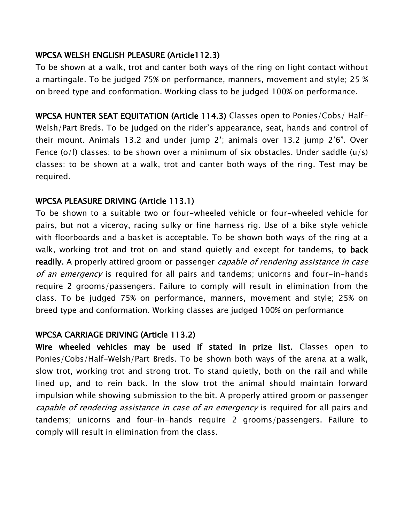### WPCSA WELSH ENGLISH PLEASURE (Article112.3)

To be shown at a walk, trot and canter both ways of the ring on light contact without a martingale. To be judged 75% on performance, manners, movement and style; 25 % on breed type and conformation. Working class to be judged 100% on performance.

WPCSA HUNTER SEAT EQUITATION (Article 114.3) Classes open to Ponies/Cobs/ Half-Welsh/Part Breds. To be judged on the rider's appearance, seat, hands and control of their mount. Animals 13.2 and under jump 2'; animals over 13.2 jump 2'6". Over Fence  $(o/f)$  classes: to be shown over a minimum of six obstacles. Under saddle  $(u/s)$ classes: to be shown at a walk, trot and canter both ways of the ring. Test may be required.

### WPCSA PLEASURE DRIVING (Article 113.1)

To be shown to a suitable two or four-wheeled vehicle or four-wheeled vehicle for pairs, but not a viceroy, racing sulky or fine harness rig. Use of a bike style vehicle with floorboards and a basket is acceptable. To be shown both ways of the ring at a walk, working trot and trot on and stand quietly and except for tandems, to back readily. A properly attired groom or passenger *capable of rendering assistance in case* of an emergency is required for all pairs and tandems; unicorns and four-in-hands require 2 grooms/passengers. Failure to comply will result in elimination from the class. To be judged 75% on performance, manners, movement and style; 25% on breed type and conformation. Working classes are judged 100% on performance

#### WPCSA CARRIAGE DRIVING (Article 113.2)

Wire wheeled vehicles may be used if stated in prize list. Classes open to Ponies/Cobs/Half-Welsh/Part Breds. To be shown both ways of the arena at a walk, slow trot, working trot and strong trot. To stand quietly, both on the rail and while lined up, and to rein back. In the slow trot the animal should maintain forward impulsion while showing submission to the bit. A properly attired groom or passenger capable of rendering assistance in case of an emergency is required for all pairs and tandems; unicorns and four-in-hands require 2 grooms/passengers. Failure to comply will result in elimination from the class.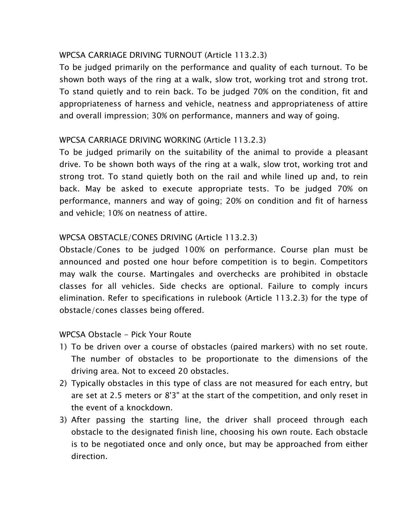### WPCSA CARRIAGE DRIVING TURNOUT (Article 113.2.3)

To be judged primarily on the performance and quality of each turnout. To be shown both ways of the ring at a walk, slow trot, working trot and strong trot. To stand quietly and to rein back. To be judged 70% on the condition, fit and appropriateness of harness and vehicle, neatness and appropriateness of attire and overall impression; 30% on performance, manners and way of going.

### WPCSA CARRIAGE DRIVING WORKING (Article 113.2.3)

To be judged primarily on the suitability of the animal to provide a pleasant drive. To be shown both ways of the ring at a walk, slow trot, working trot and strong trot. To stand quietly both on the rail and while lined up and, to rein back. May be asked to execute appropriate tests. To be judged 70% on performance, manners and way of going; 20% on condition and fit of harness and vehicle; 10% on neatness of attire.

### WPCSA OBSTACLE/CONES DRIVING (Article 113.2.3)

Obstacle/Cones to be judged 100% on performance. Course plan must be announced and posted one hour before competition is to begin. Competitors may walk the course. Martingales and overchecks are prohibited in obstacle classes for all vehicles. Side checks are optional. Failure to comply incurs elimination. Refer to specifications in rulebook (Article 113.2.3) for the type of obstacle/cones classes being offered.

#### WPCSA Obstacle - Pick Your Route

- 1) To be driven over a course of obstacles (paired markers) with no set route. The number of obstacles to be proportionate to the dimensions of the driving area. Not to exceed 20 obstacles.
- 2) Typically obstacles in this type of class are not measured for each entry, but are set at 2.5 meters or 8'3" at the start of the competition, and only reset in the event of a knockdown.
- 3) After passing the starting line, the driver shall proceed through each obstacle to the designated finish line, choosing his own route. Each obstacle is to be negotiated once and only once, but may be approached from either direction.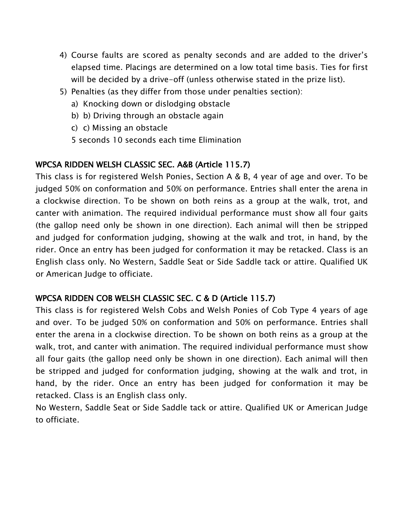- 4) Course faults are scored as penalty seconds and are added to the driver's elapsed time. Placings are determined on a low total time basis. Ties for first will be decided by a drive-off (unless otherwise stated in the prize list).
- 5) Penalties (as they differ from those under penalties section):
	- a) Knocking down or dislodging obstacle
	- b) b) Driving through an obstacle again
	- c) c) Missing an obstacle
	- 5 seconds 10 seconds each time Elimination

# WPCSA RIDDEN WELSH CLASSIC SEC. A&B (Article 115.7)

This class is for registered Welsh Ponies, Section A & B, 4 year of age and over. To be judged 50% on conformation and 50% on performance. Entries shall enter the arena in a clockwise direction. To be shown on both reins as a group at the walk, trot, and canter with animation. The required individual performance must show all four gaits (the gallop need only be shown in one direction). Each animal will then be stripped and judged for conformation judging, showing at the walk and trot, in hand, by the rider. Once an entry has been judged for conformation it may be retacked. Class is an English class only. No Western, Saddle Seat or Side Saddle tack or attire. Qualified UK or American Judge to officiate.

# WPCSA RIDDEN COB WELSH CLASSIC SEC. C & D (Article 115.7)

This class is for registered Welsh Cobs and Welsh Ponies of Cob Type 4 years of age and over. To be judged 50% on conformation and 50% on performance. Entries shall enter the arena in a clockwise direction. To be shown on both reins as a group at the walk, trot, and canter with animation. The required individual performance must show all four gaits (the gallop need only be shown in one direction). Each animal will then be stripped and judged for conformation judging, showing at the walk and trot, in hand, by the rider. Once an entry has been judged for conformation it may be retacked. Class is an English class only.

No Western, Saddle Seat or Side Saddle tack or attire. Qualified UK or American Judge to officiate.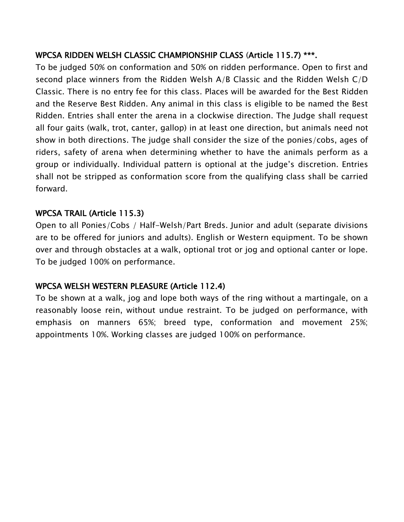# WPCSA RIDDEN WELSH CLASSIC CHAMPIONSHIP CLASS (Article 115.7) \*\*\*.

To be judged 50% on conformation and 50% on ridden performance. Open to first and second place winners from the Ridden Welsh A/B Classic and the Ridden Welsh C/D Classic. There is no entry fee for this class. Places will be awarded for the Best Ridden and the Reserve Best Ridden. Any animal in this class is eligible to be named the Best Ridden. Entries shall enter the arena in a clockwise direction. The Judge shall request all four gaits (walk, trot, canter, gallop) in at least one direction, but animals need not show in both directions. The judge shall consider the size of the ponies/cobs, ages of riders, safety of arena when determining whether to have the animals perform as a group or individually. Individual pattern is optional at the judge's discretion. Entries shall not be stripped as conformation score from the qualifying class shall be carried forward.

### WPCSA TRAIL (Article 115.3)

Open to all Ponies/Cobs / Half-Welsh/Part Breds. Junior and adult (separate divisions are to be offered for juniors and adults). English or Western equipment. To be shown over and through obstacles at a walk, optional trot or jog and optional canter or lope. To be judged 100% on performance.

# WPCSA WELSH WESTERN PLEASURE (Article 112.4)

To be shown at a walk, jog and lope both ways of the ring without a martingale, on a reasonably loose rein, without undue restraint. To be judged on performance, with emphasis on manners 65%; breed type, conformation and movement 25%; appointments 10%. Working classes are judged 100% on performance.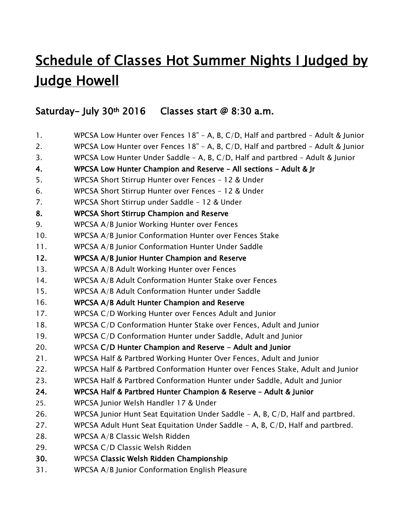# Schedule of Classes Hot Summer Nights I Judged by Judge Howell

# Saturday- July 30<sup>th</sup> 2016 Classes start  $@8:30$  a.m.

- 1. WPCSA Low Hunter over Fences 18" A, B, C/D, Half and partbred Adult & Junior
- 2. WPCSA Low Hunter over Fences 18" A, B, C/D, Half and partbred Adult & Junior
- 3. WPCSA Low Hunter Under Saddle A, B, C/D, Half and partbred Adult & Junior
- 4. WPCSA Low Hunter Champion and Reserve All sections Adult & Jr
- 5. WPCSA Short Stirrup Hunter over Fences 12 & Under
- 6. WPCSA Short Stirrup Hunter over Fences 12 & Under
- 7. WPCSA Short Stirrup under Saddle 12 & Under
- 8. WPCSA Short Stirrup Champion and Reserve
- 9. WPCSA A/B Junior Working Hunter over Fences
- 10. WPCSA A/B Junior Conformation Hunter over Fences Stake
- 11. WPCSA A/B Junior Conformation Hunter Under Saddle
- 12. WPCSA A/B Junior Hunter Champion and Reserve
- 13. WPCSA A/B Adult Working Hunter over Fences
- 14. WPCSA A/B Adult Conformation Hunter Stake over Fences
- 15. WPCSA A/B Adult Conformation Hunter under Saddle

### 16. WPCSA A/B Adult Hunter Champion and Reserve

- 17. WPCSA C/D Working Hunter over Fences Adult and Junior
- 18. WPCSA C/D Conformation Hunter Stake over Fences, Adult and Junior
- 19. WPCSA C/D Conformation Hunter under Saddle, Adult and Junior
- 20. WPCSA C/D Hunter Champion and Reserve Adult and Junior
- 21. WPCSA Half & Partbred Working Hunter Over Fences, Adult and Junior
- 22. WPCSA Half & Partbred Conformation Hunter over Fences Stake, Adult and Junior
- 23. WPCSA Half & Partbred Conformation Hunter under Saddle, Adult and Junior
- 24. WPCSA Half & Partbred Hunter Champion & Reserve Adult & Junior
- 25. WPCSA Junior Welsh Handler 17 & Under
- 26. WPCSA Junior Hunt Seat Equitation Under Saddle A, B, C/D, Half and partbred.
- 27. WPCSA Adult Hunt Seat Equitation Under Saddle A, B, C/D, Half and partbred.
- 28. WPCSA A/B Classic Welsh Ridden
- 29. WPCSA C/D Classic Welsh Ridden
- 30. WPCSA Classic Welsh Ridden Championship
- 31. WPCSA A/B Junior Conformation English Pleasure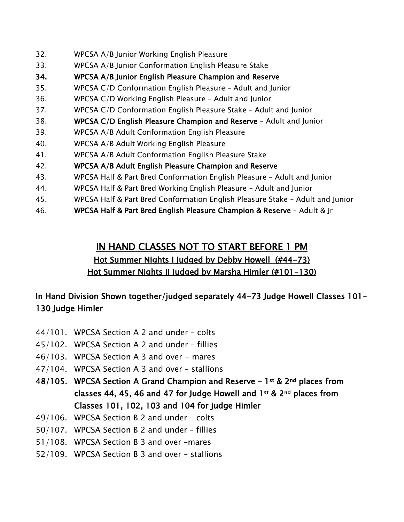- 32. WPCSA A/B Junior Working English Pleasure
- 33. WPCSA A/B Junior Conformation English Pleasure Stake
- 34. WPCSA A/B Junior English Pleasure Champion and Reserve
- 35. WPCSA C/D Conformation English Pleasure Adult and Junior
- 36. WPCSA C/D Working English Pleasure Adult and Junior
- 37. WPCSA C/D Conformation English Pleasure Stake Adult and Junior
- 38. WPCSA C/D English Pleasure Champion and Reserve Adult and Junior
- 39. WPCSA A/B Adult Conformation English Pleasure
- 40. WPCSA A/B Adult Working English Pleasure
- 41. WPCSA A/B Adult Conformation English Pleasure Stake
- 42. WPCSA A/B Adult English Pleasure Champion and Reserve
- 43. WPCSA Half & Part Bred Conformation English Pleasure Adult and Junior
- 44. WPCSA Half & Part Bred Working English Pleasure Adult and Junior
- 45. WPCSA Half & Part Bred Conformation English Pleasure Stake Adult and Junior
- 46. WPCSA Half & Part Bred English Pleasure Champion & Reserve Adult & Jr

# IN HAND CLASSES NOT TO START BEFORE 1 PM

# Hot Summer Nights I Judged by Debby Howell (#44-73) Hot Summer Nights II Judged by Marsha Himler (#101-130)

# In Hand Division Shown together/judged separately 44-73 Judge Howell Classes 101- 130 Judge Himler

- 44/101. WPCSA Section A 2 and under colts
- 45/102. WPCSA Section A 2 and under fillies
- 46/103. WPCSA Section A 3 and over mares
- 47/104. WPCSA Section A 3 and over stallions
- 48/105. WPCSA Section A Grand Champion and Reserve 1st & 2nd places from classes 44, 45, 46 and 47 for Judge Howell and 1st & 2nd places from Classes 101, 102, 103 and 104 for judge Himler
- 49/106. WPCSA Section B 2 and under colts
- 50/107. WPCSA Section B 2 and under fillies
- 51/108. WPCSA Section B 3 and over –mares
- 52/109. WPCSA Section B 3 and over stallions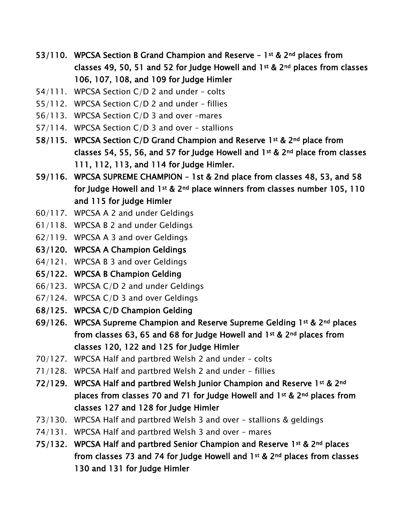- 53/110. WPCSA Section B Grand Champion and Reserve  $-1$ <sup>st</sup> & 2<sup>nd</sup> places from classes 49, 50, 51 and 52 for Judge Howell and 1st & 2nd places from classes 106, 107, 108, and 109 for Judge Himler
- 54/111. WPCSA Section C/D 2 and under colts
- 55/112. WPCSA Section C/D 2 and under fillies
- 56/113. WPCSA Section C/D 3 and over –mares
- 57/114. WPCSA Section C/D 3 and over stallions
- 58/115. WPCSA Section C/D Grand Champion and Reserve 1st & 2nd place from classes 54, 55, 56, and 57 for Judge Howell and 1st & 2nd place from classes 111, 112, 113, and 114 for Judge Himler.
- 59/116. WPCSA SUPREME CHAMPION 1st & 2nd place from classes 48, 53, and 58 for Judge Howell and 1st & 2<sup>nd</sup> place winners from classes number 105, 110 and 115 for judge Himler
- 60/117. WPCSA A 2 and under Geldings
- 61/118. WPCSA B 2 and under Geldings
- 62/119. WPCSA A 3 and over Geldings
- 63/120. WPCSA A Champion Geldings
- 64/121. WPCSA B 3 and over Geldings
- 65/122. WPCSA B Champion Gelding
- 66/123. WPCSA C/D 2 and under Geldings
- 67/124. WPCSA C/D 3 and over Geldings
- 68/125. WPCSA C/D Champion Gelding
- 69/126. WPCSA Supreme Champion and Reserve Supreme Gelding 1st & 2nd places from classes 63, 65 and 68 for Judge Howell and 1st & 2nd places from classes 120, 122 and 125 for Judge Himler
- 70/127. WPCSA Half and partbred Welsh 2 and under colts
- $71/128$ . WPCSA Half and partbred Welsh 2 and under  $-$  fillies
- 72/129. WPCSA Half and partbred Welsh Junior Champion and Reserve 1st & 2nd places from classes 70 and 71 for Judge Howell and 1st & 2nd places from classes 127 and 128 for Judge Himler
- 73/130. WPCSA Half and partbred Welsh 3 and over stallions & geldings
- 74/131. WPCSA Half and partbred Welsh 3 and over mares
- 75/132. WPCSA Half and partbred Senior Champion and Reserve 1st & 2nd places from classes 73 and 74 for Judge Howell and 1st & 2nd places from classes 130 and 131 for Judge Himler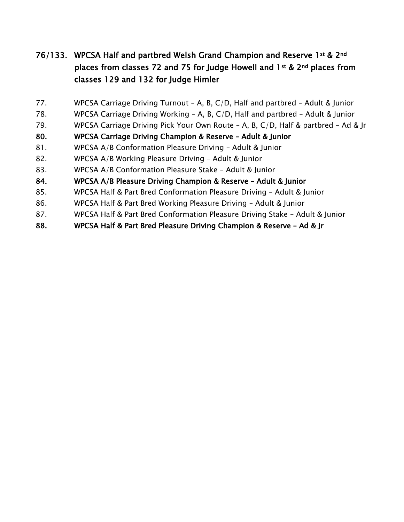# 76/133. WPCSA Half and partbred Welsh Grand Champion and Reserve 1st & 2nd places from classes 72 and 75 for Judge Howell and 1st & 2nd places from classes 129 and 132 for Judge Himler

- 77. WPCSA Carriage Driving Turnout A, B, C/D, Half and partbred Adult & Junior
- 78. WPCSA Carriage Driving Working A, B, C/D, Half and partbred Adult & Junior
- 79. WPCSA Carriage Driving Pick Your Own Route A, B, C/D, Half & partbred Ad & Jr
- 80. WPCSA Carriage Driving Champion & Reserve Adult & Junior
- 81. WPCSA A/B Conformation Pleasure Driving Adult & Junior
- 82. WPCSA A/B Working Pleasure Driving Adult & Junior
- 83. WPCSA A/B Conformation Pleasure Stake Adult & Junior
- 84. WPCSA A/B Pleasure Driving Champion & Reserve Adult & Junior
- 85. WPCSA Half & Part Bred Conformation Pleasure Driving Adult & Junior
- 86. WPCSA Half & Part Bred Working Pleasure Driving Adult & Junior
- 87. WPCSA Half & Part Bred Conformation Pleasure Driving Stake Adult & Junior
- 88. WPCSA Half & Part Bred Pleasure Driving Champion & Reserve Ad & Jr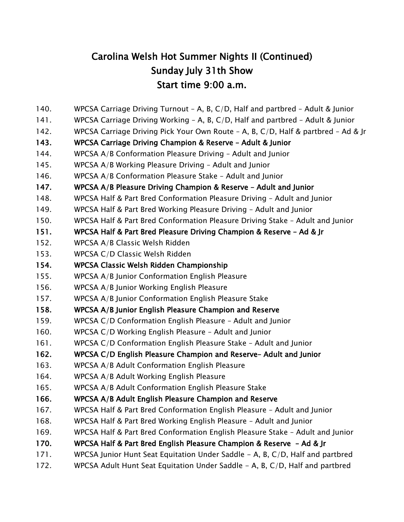# Carolina Welsh Hot Summer Nights II (Continued) Sunday July 31th Show Start time 9:00 a.m.

- 140. WPCSA Carriage Driving Turnout A, B, C/D, Half and partbred Adult & Junior
- 141. WPCSA Carriage Driving Working A, B, C/D, Half and partbred Adult & Junior
- 142. WPCSA Carriage Driving Pick Your Own Route A, B, C/D, Half & partbred Ad & Jr

### 143. WPCSA Carriage Driving Champion & Reserve – Adult & Junior

- 144. WPCSA A/B Conformation Pleasure Driving Adult and Junior
- 145. WPCSA A/B Working Pleasure Driving Adult and Junior
- 146. WPCSA A/B Conformation Pleasure Stake Adult and Junior

147. WPCSA A/B Pleasure Driving Champion & Reserve – Adult and Junior

- 148. WPCSA Half & Part Bred Conformation Pleasure Driving Adult and Junior
- 149. WPCSA Half & Part Bred Working Pleasure Driving Adult and Junior
- 150. WPCSA Half & Part Bred Conformation Pleasure Driving Stake Adult and Junior
- 151. WPCSA Half & Part Bred Pleasure Driving Champion & Reserve Ad & Jr
- 152. WPCSA A/B Classic Welsh Ridden
- 153. WPCSA C/D Classic Welsh Ridden
- 154. WPCSA Classic Welsh Ridden Championship
- 155. WPCSA A/B Junior Conformation English Pleasure
- 156. WPCSA A/B Junior Working English Pleasure
- 157. WPCSA A/B Junior Conformation English Pleasure Stake
- 158. WPCSA A/B Junior English Pleasure Champion and Reserve
- 159. WPCSA C/D Conformation English Pleasure Adult and Junior
- 160. WPCSA C/D Working English Pleasure Adult and Junior
- 161. WPCSA C/D Conformation English Pleasure Stake Adult and Junior

# 162. WPCSA C/D English Pleasure Champion and Reserve– Adult and Junior

- 163. WPCSA A/B Adult Conformation English Pleasure
- 164. WPCSA A/B Adult Working English Pleasure
- 165. WPCSA A/B Adult Conformation English Pleasure Stake
- 166. WPCSA A/B Adult English Pleasure Champion and Reserve
- 167. WPCSA Half & Part Bred Conformation English Pleasure Adult and Junior
- 168. WPCSA Half & Part Bred Working English Pleasure Adult and Junior
- 169. WPCSA Half & Part Bred Conformation English Pleasure Stake Adult and Junior
- 170. WPCSA Half & Part Bred English Pleasure Champion & Reserve Ad & Jr
- 171. WPCSA Junior Hunt Seat Equitation Under Saddle A, B, C/D, Half and partbred
- 172. WPCSA Adult Hunt Seat Equitation Under Saddle A, B, C/D, Half and partbred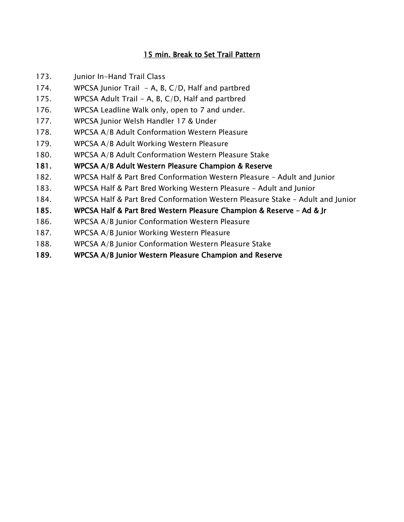### 15 min. Break to Set Trail Pattern

- 173. Junior In-Hand Trail Class
- 174. WPCSA Junior Trail  $-$  A, B, C/D, Half and partbred
- 175. WPCSA Adult Trail A, B,  $C/D$ , Half and partbred
- 176. WPCSA Leadline Walk only, open to 7 and under.
- 177. WPCSA Junior Welsh Handler 17 & Under
- 178. WPCSA A/B Adult Conformation Western Pleasure
- 179. WPCSA A/B Adult Working Western Pleasure
- 180. WPCSA A/B Adult Conformation Western Pleasure Stake
- 181. WPCSA A/B Adult Western Pleasure Champion & Reserve
- 182. WPCSA Half & Part Bred Conformation Western Pleasure Adult and Junior
- 183. WPCSA Half & Part Bred Working Western Pleasure Adult and Junior
- 184. WPCSA Half & Part Bred Conformation Western Pleasure Stake Adult and Junior
- 185. WPCSA Half & Part Bred Western Pleasure Champion & Reserve Ad & Jr
- 186. WPCSA A/B Junior Conformation Western Pleasure
- 187. WPCSA A/B Junior Working Western Pleasure
- 188. WPCSA A/B Junior Conformation Western Pleasure Stake
- 189. WPCSA A/B Junior Western Pleasure Champion and Reserve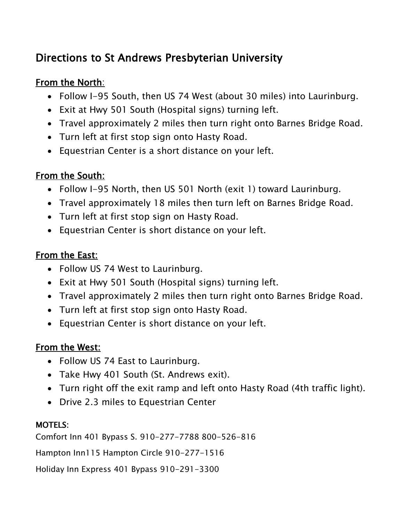# Directions to St Andrews Presbyterian University

# From the North:

- Follow I-95 South, then US 74 West (about 30 miles) into Laurinburg.
- Exit at Hwy 501 South (Hospital signs) turning left.
- Travel approximately 2 miles then turn right onto Barnes Bridge Road.
- Turn left at first stop sign onto Hasty Road.
- Equestrian Center is a short distance on your left.

# From the South:

- Follow I-95 North, then US 501 North (exit 1) toward Laurinburg.
- Travel approximately 18 miles then turn left on Barnes Bridge Road.
- Turn left at first stop sign on Hasty Road.
- Equestrian Center is short distance on your left.

# From the East:

- Follow US 74 West to Laurinburg.
- Exit at Hwy 501 South (Hospital signs) turning left.
- Travel approximately 2 miles then turn right onto Barnes Bridge Road.
- Turn left at first stop sign onto Hasty Road.
- Equestrian Center is short distance on your left.

# From the West:

- Follow US 74 East to Laurinburg.
- Take Hwy 401 South (St. Andrews exit).
- Turn right off the exit ramp and left onto Hasty Road (4th traffic light).
- Drive 2.3 miles to Equestrian Center

# MOTELS:

Comfort Inn 401 Bypass S. 910-277-7788 800-526-816

Hampton Inn
115 Hampton Circle 910-277-1516

Holiday Inn Express 401 Bypass 910-291-3300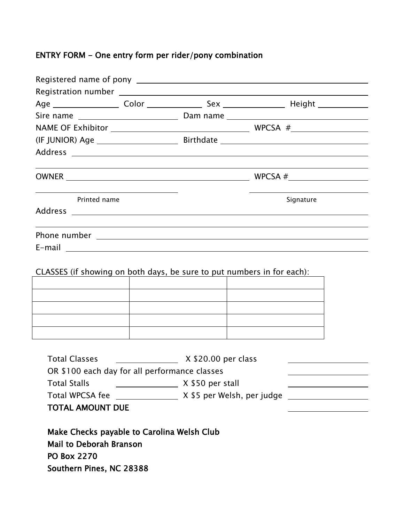# ENTRY FORM - One entry form per rider/pony combination

| Printed name        |                                                                        | Signature |
|---------------------|------------------------------------------------------------------------|-----------|
|                     |                                                                        |           |
|                     |                                                                        |           |
|                     | CLASSES (if showing on both days, be sure to put numbers in for each): |           |
|                     |                                                                        |           |
|                     |                                                                        |           |
|                     |                                                                        |           |
| <b>Total Stalls</b> | X \$50 per stall                                                       |           |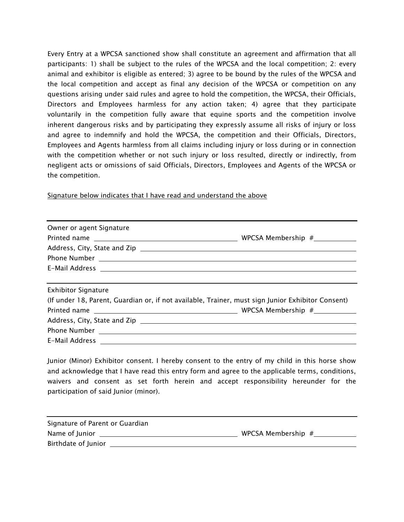Every Entry at a WPCSA sanctioned show shall constitute an agreement and affirmation that all participants: 1) shall be subject to the rules of the WPCSA and the local competition; 2: every animal and exhibitor is eligible as entered; 3) agree to be bound by the rules of the WPCSA and the local competition and accept as final any decision of the WPCSA or competition on any questions arising under said rules and agree to hold the competition, the WPCSA, their Officials, Directors and Employees harmless for any action taken; 4) agree that they participate voluntarily in the competition fully aware that equine sports and the competition involve inherent dangerous risks and by participating they expressly assume all risks of injury or loss and agree to indemnify and hold the WPCSA, the competition and their Officials, Directors, Employees and Agents harmless from all claims including injury or loss during or in connection with the competition whether or not such injury or loss resulted, directly or indirectly, from negligent acts or omissions of said Officials, Directors, Employees and Agents of the WPCSA or the competition.

Signature below indicates that I have read and understand the above

| Owner or agent Signature                                                                                         |  |  |
|------------------------------------------------------------------------------------------------------------------|--|--|
|                                                                                                                  |  |  |
| Phone Number 2012 2022 2023 2024 2022 2023 2024 2022 2023 2024 2022 2023 2024 2022 2023 2024 2022 2023 2024 20   |  |  |
| E-Mail Address <b>E-Mail Address</b>                                                                             |  |  |
|                                                                                                                  |  |  |
| <b>Exhibitor Signature</b>                                                                                       |  |  |
| (If under 18, Parent, Guardian or, if not available, Trainer, must sign Junior Exhibitor Consent)                |  |  |
|                                                                                                                  |  |  |
|                                                                                                                  |  |  |
| Phone Number 2008 2009 2010 2020 2020 2021 2022 2022 2023 2024 2022 2023 2024 2022 2023 2024 2022 2023 2024 20   |  |  |
| E-Mail Address 2008 2009 2010 2021 2022 2023 2024 2022 2023 2024 2022 2023 2024 2022 2023 2024 2022 2023 2024 20 |  |  |

Junior (Minor) Exhibitor consent. I hereby consent to the entry of my child in this horse show and acknowledge that I have read this entry form and agree to the applicable terms, conditions, waivers and consent as set forth herein and accept responsibility hereunder for the participation of said Junior (minor).

| Signature of Parent or Guardian |                    |  |
|---------------------------------|--------------------|--|
| Name of Junior                  | WPCSA Membership # |  |
| Birthdate of Junior             |                    |  |